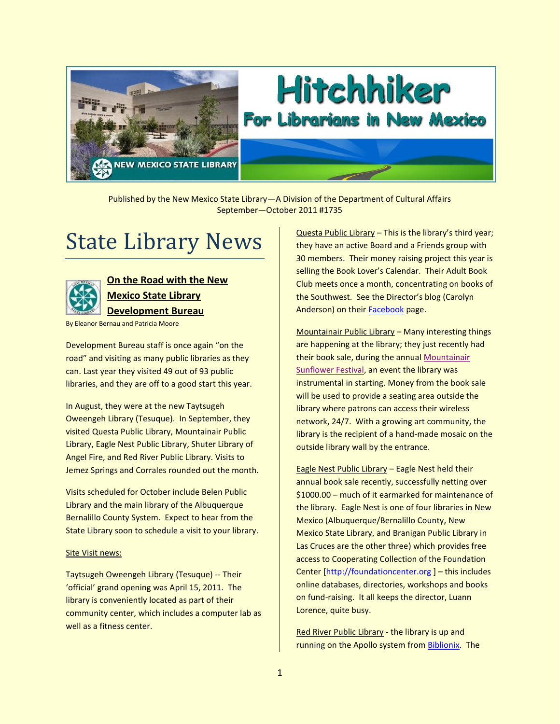

# Hitchhiker For Librarians in New Mexico

Published by the New Mexico State Library—A Division of the Department of Cultural Affairs September—October 2011 #1735

## State Library News



## **On the Road with the New Mexico State Library Development Bureau**

By Eleanor Bernau and Patricia Moore

Development Bureau staff is once again "on the road" and visiting as many public libraries as they can. Last year they visited 49 out of 93 public libraries, and they are off to a good start this year.

In August, they were at the new Taytsugeh Oweengeh Library (Tesuque). In September, they visited Questa Public Library, Mountainair Public Library, Eagle Nest Public Library, Shuter Library of Angel Fire, and Red River Public Library. Visits to Jemez Springs and Corrales rounded out the month.

Visits scheduled for October include Belen Public Library and the main library of the Albuquerque Bernalillo County System. Expect to hear from the State Library soon to schedule a visit to your library.

#### Site Visit news:

Taytsugeh Oweengeh Library (Tesuque) -- Their 'official' grand opening was April 15, 2011. The library is conveniently located as part of their community center, which includes a computer lab as well as a fitness center.

Questa Public Library – This is the library's third year; they have an active Board and a Friends group with 30 members. Their money raising project this year is selling the Book Lover's Calendar. Their Adult Book Club meets once a month, concentrating on books of the Southwest. See the Director's blog (Carolyn Anderson) on their [Facebook](https://www.facebook.com/pages/Questa-Public-Library/329325911922) page.

Mountainair Public Library – Many interesting things are happening at the library; they just recently had their book sale, during the annual [Mountainair](http://mountainair-online.net/Sunflower/)  [Sunflower Festival,](http://mountainair-online.net/Sunflower/) an event the library was instrumental in starting. Money from the book sale will be used to provide a seating area outside the library where patrons can access their wireless network, 24/7. With a growing art community, the library is the recipient of a hand-made mosaic on the outside library wall by the entrance.

Eagle Nest Public Library – Eagle Nest held their annual book sale recently, successfully netting over \$1000.00 – much of it earmarked for maintenance of the library. Eagle Nest is one of four libraries in New Mexico (Albuquerque/Bernalillo County, New Mexico State Library, and Branigan Public Library in Las Cruces are the other three) which provides free access to Cooperating Collection of the Foundation Center [\[http://foundationcenter.org](http://foundationcenter.org/) ] – this includes online databases, directories, workshops and books on fund-raising. It all keeps the director, Luann Lorence, quite busy.

Red River Public Library - the library is up and running on the Apollo system from [Biblionix.](http://www.biblionix.com/) The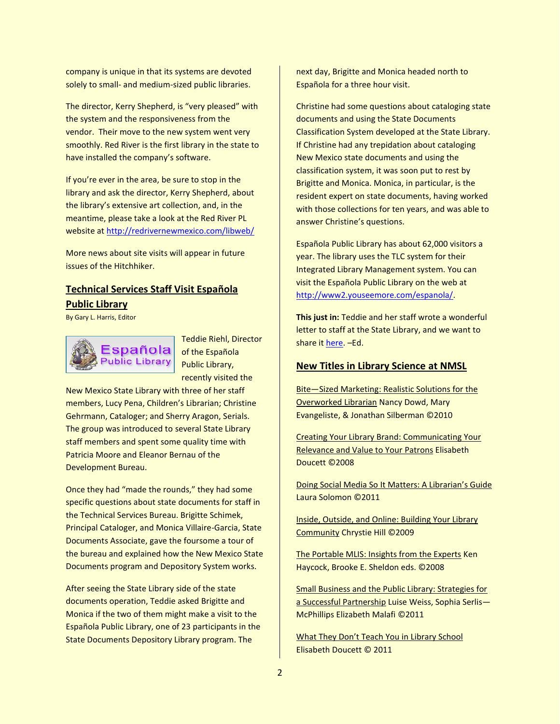company is unique in that its systems are devoted solely to small- and medium-sized public libraries.

The director, Kerry Shepherd, is "very pleased" with the system and the responsiveness from the vendor. Their move to the new system went very smoothly. Red River is the first library in the state to have installed the company's software.

If you're ever in the area, be sure to stop in the library and ask the director, Kerry Shepherd, about the library's extensive art collection, and, in the meantime, please take a look at the Red River PL website a[t http://redrivernewmexico.com/libweb/](http://redrivernewmexico.com/libweb/)

More news about site visits will appear in future issues of the Hitchhiker.

### **Technical Services Staff Visit Española Public Library**

By Gary L. Harris, Editor



Teddie Riehl, Director of the Española Public Library, recently visited the

New Mexico State Library with three of her staff members, Lucy Pena, Children's Librarian; Christine Gehrmann, Cataloger; and Sherry Aragon, Serials. The group was introduced to several State Library staff members and spent some quality time with Patricia Moore and Eleanor Bernau of the Development Bureau.

Once they had "made the rounds," they had some specific questions about state documents for staff in the Technical Services Bureau. Brigitte Schimek, Principal Cataloger, and Monica Villaire-Garcia, State Documents Associate, gave the foursome a tour of the bureau and explained how the New Mexico State Documents program and Depository System works.

After seeing the State Library side of the state documents operation, Teddie asked Brigitte and Monica if the two of them might make a visit to the Española Public Library, one of 23 participants in the State Documents Depository Library program. The

next day, Brigitte and Monica headed north to Española for a three hour visit.

Christine had some questions about cataloging state documents and using the State Documents Classification System developed at the State Library. If Christine had any trepidation about cataloging New Mexico state documents and using the classification system, it was soon put to rest by Brigitte and Monica. Monica, in particular, is the resident expert on state documents, having worked with those collections for ten years, and was able to answer Christine's questions.

Española Public Library has about 62,000 visitors a year. The library uses the TLC system for their Integrated Library Management system. You can visit the Española Public Library on the web at [http://www2.youseemore.com/espanola/.](http://www2.youseemore.com/espanola/)

**This just in:** Teddie and her staff wrote a wonderful letter to staff at the State Library, and we want to share i[t here.](http://www.nmstatelibrary.org/docs/hitchhiker/espanola_letter.pdf) –Ed.

#### **New Titles in Library Science at NMSL**

Bite—Sized Marketing: Realistic Solutions for the Overworked Librarian Nancy Dowd, Mary Evangeliste, & Jonathan Silberman ©2010

Creating Your Library Brand: Communicating Your Relevance and Value to Your Patrons Elisabeth Doucett ©2008

Doing Social Media So It Matters: A Librarian's Guide Laura Solomon ©2011

Inside, Outside, and Online: Building Your Library Community Chrystie Hill ©2009

The Portable MLIS: Insights from the Experts Ken Haycock, Brooke E. Sheldon eds. ©2008

Small Business and the Public Library: Strategies for a Successful Partnership Luise Weiss, Sophia Serlis-McPhillips Elizabeth Malafi ©2011

What They Don't Teach You in Library School Elisabeth Doucett © 2011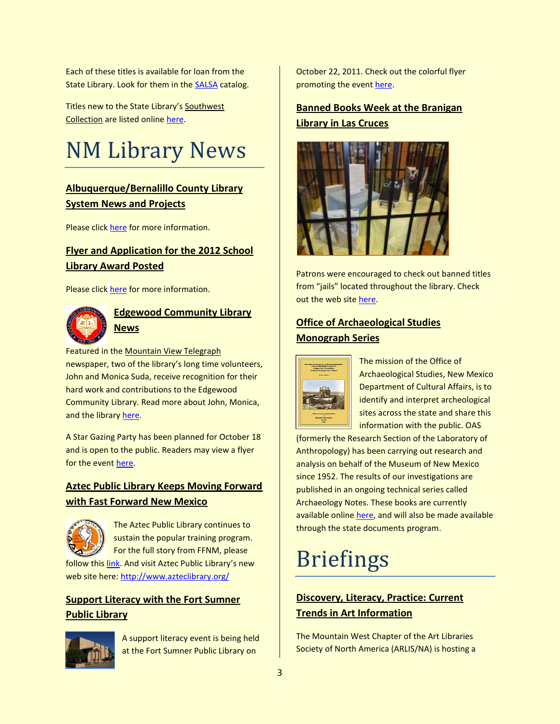Each of these titles is available for loan from the State Library. Look for them in the [SALSA](http://salsa.stlib.state.nm.us/ipac20/ipac.jsp?profile=nms&menu=search#focus) catalog.

Titles new to the State Library's Southwest Collection are listed online [here.](http://www.nmstatelibrary.org/research-collections/collections/southwest-collection/new-in-southwest)

## NM Library News

## **Albuquerque/Bernalillo County Library System News and Projects**

Please click [here](http://www.cabq.gov/library/Projects.html) for more information.

### **Flyer and Application for the 2012 School Library Award Posted**

Please click [here](http://aslsignm.edublogs.org/) for more information.



### **Edgewood Community Library News**

Featured in the Mountain View Telegraph newspaper, two of the library's long time volunteers, John and Monica Suda, receive recognition for their hard work and contributions to the Edgewood Community Library. Read more about John, Monica, and the library [here.](http://www.edgewoodlibrary.com/apps/photos/photo?photoid=137913133)

A Star Gazing Party has been planned for October 18 and is open to the public. Readers may view a flyer for the event [here.](http://www.nmstatelibrary.org/docs/hitchhiker/star_gazing.pdf)

## **Aztec Public Library Keeps Moving Forward with Fast Forward New Mexico**



The Aztec Public Library continues to sustain the popular training program. For the full story from FFNM, please

follow thi[s link.](http://www.nmstatelibrary.org/docs/hitchhiker/aztec_ffnm.pdf) And visit Aztec Public Library's new web site here:<http://www.azteclibrary.org/>

## **Support Literacy with the Fort Sumner Public Library**



A support literacy event is being held at the Fort Sumner Public Library on

October 22, 2011. Check out the colorful flyer promoting the event [here.](http://www.nmstatelibrary.org/docs/hitchhiker/support_literacy.pdf)

## **Banned Books Week at the Branigan Library in Las Cruces**



Patrons were encouraged to check out banned titles from "jails" located throughout the library. Check out the web sit[e here.](http://www.las-cruces.org/Departments/Public%20Services/Services/Branigan%20Library.aspx)

### **Office of Archaeological Studies Monograph Series**



The mission of the Office of Archaeological Studies, New Mexico Department of Cultural Affairs, is to identify and interpret archeological sites across the state and share this information with the public. OAS

(formerly the Research Section of the Laboratory of Anthropology) has been carrying out research and analysis on behalf of the Museum of New Mexico since 1952. The results of our investigations are published in an ongoing technical series called Archaeology Notes. These books are currently available online [here,](http://nmarchaeology.org/publications.html) and will also be made available through the state documents program.

## Briefings

## **Discovery, Literacy, Practice: Current Trends in Art Information**

The Mountain West Chapter of the Art Libraries Society of North America (ARLIS/NA) is hosting a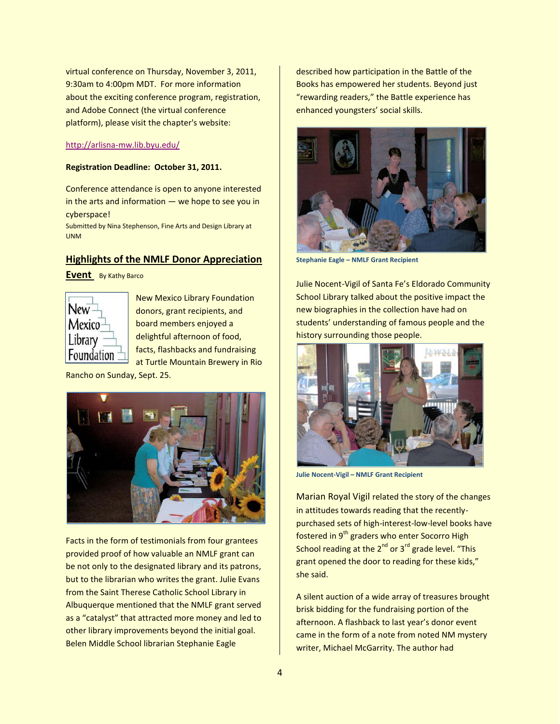virtual conference on Thursday, November 3, 2011, 9:30am to 4:00pm MDT. For more information about the exciting conference program, registration, and Adobe Connect (the virtual conference platform), please visit the chapter's website:

#### <http://arlisna-mw.lib.byu.edu/>

#### **Registration Deadline: October 31, 2011.**

Conference attendance is open to anyone interested in the arts and information  $-$  we hope to see you in cyberspace!

Submitted by Nina Stephenson, Fine Arts and Design Library at UNM

#### **Highlights of the NMLF Donor Appreciation**

**Event** By Kathy Barco



New Mexico Library Foundation donors, grant recipients, and board members enjoyed a delightful afternoon of food, facts, flashbacks and fundraising at Turtle Mountain Brewery in Rio

Rancho on Sunday, Sept. 25.



Facts in the form of testimonials from four grantees provided proof of how valuable an NMLF grant can be not only to the designated library and its patrons, but to the librarian who writes the grant. Julie Evans from the Saint Therese Catholic School Library in Albuquerque mentioned that the NMLF grant served as a "catalyst" that attracted more money and led to other library improvements beyond the initial goal. Belen Middle School librarian Stephanie Eagle

described how participation in the Battle of the Books has empowered her students. Beyond just "rewarding readers," the Battle experience has enhanced youngsters' social skills.



**Stephanie Eagle – NMLF Grant Recipient**

Julie Nocent-Vigil of Santa Fe's Eldorado Community School Library talked about the positive impact the new biographies in the collection have had on students' understanding of famous people and the history surrounding those people.



**Julie Nocent-Vigil – NMLF Grant Recipient**

Marian Royal Vigil related the story of the changes in attitudes towards reading that the recentlypurchased sets of high-interest-low-level books have fostered in 9<sup>th</sup> graders who enter Socorro High School reading at the  $2^{nd}$  or  $3^{rd}$  grade level. "This grant opened the door to reading for these kids," she said.

A silent auction of a wide array of treasures brought brisk bidding for the fundraising portion of the afternoon. A flashback to last year's donor event came in the form of a note from noted NM mystery writer, Michael McGarrity. The author had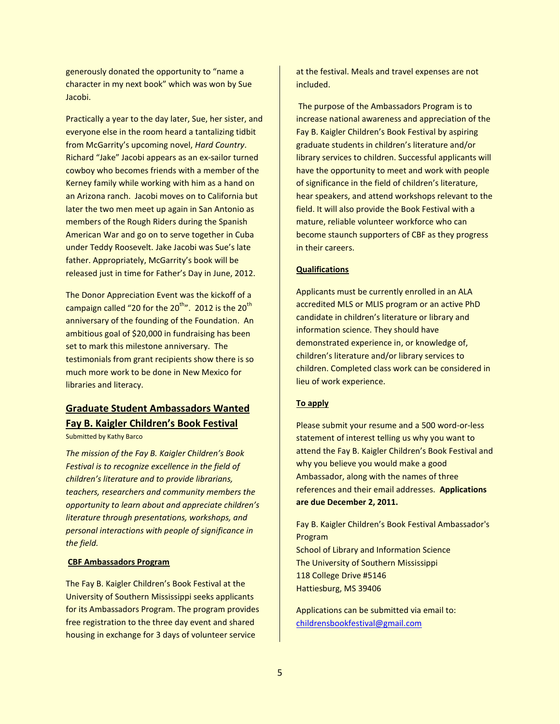generously donated the opportunity to "name a character in my next book" which was won by Sue Jacobi.

Practically a year to the day later, Sue, her sister, and everyone else in the room heard a tantalizing tidbit from McGarrity's upcoming novel, *Hard Country*. Richard "Jake" Jacobi appears as an ex-sailor turned cowboy who becomes friends with a member of the Kerney family while working with him as a hand on an Arizona ranch. Jacobi moves on to California but later the two men meet up again in San Antonio as members of the Rough Riders during the Spanish American War and go on to serve together in Cuba under Teddy Roosevelt. Jake Jacobi was Sue's late father. Appropriately, McGarrity's book will be released just in time for Father's Day in June, 2012.

The Donor Appreciation Event was the kickoff of a campaign called "20 for the  $20^{th}$ ". 2012 is the  $20^{th}$ anniversary of the founding of the Foundation. An ambitious goal of \$20,000 in fundraising has been set to mark this milestone anniversary. The testimonials from grant recipients show there is so much more work to be done in New Mexico for libraries and literacy.

## **Graduate Student Ambassadors Wanted Fay B. Kaigler Children's Book Festival**

Submitted by Kathy Barco

*The mission of the Fay B. Kaigler Children's Book Festival is to recognize excellence in the field of children's literature and to provide librarians, teachers, researchers and community members the opportunity to learn about and appreciate children's literature through presentations, workshops, and personal interactions with people of significance in the field.*

#### **CBF Ambassadors Program**

The Fay B. Kaigler Children's Book Festival at the University of Southern Mississippi seeks applicants for its Ambassadors Program. The program provides free registration to the three day event and shared housing in exchange for 3 days of volunteer service

at the festival. Meals and travel expenses are not included.

The purpose of the Ambassadors Program is to increase national awareness and appreciation of the Fay B. Kaigler Children's Book Festival by aspiring graduate students in children's literature and/or library services to children. Successful applicants will have the opportunity to meet and work with people of significance in the field of children's literature, hear speakers, and attend workshops relevant to the field. It will also provide the Book Festival with a mature, reliable volunteer workforce who can become staunch supporters of CBF as they progress in their careers.

#### **Qualifications**

Applicants must be currently enrolled in an ALA accredited MLS or MLIS program or an active PhD candidate in children's literature or library and information science. They should have demonstrated experience in, or knowledge of, children's literature and/or library services to children. Completed class work can be considered in lieu of work experience.

#### **To apply**

Please submit your resume and a 500 word-or-less statement of interest telling us why you want to attend the Fay B. Kaigler Children's Book Festival and why you believe you would make a good Ambassador, along with the names of three references and their email addresses. **Applications are due December 2, 2011.**

Fay B. Kaigler Children's Book Festival Ambassador's Program School of Library and Information Science The University of Southern Mississippi 118 College Drive #5146 Hattiesburg, MS 39406

Applications can be submitted via email to: [childrensbookfestival@gmail.com](mailto:childrensbookfestival@gmail.com)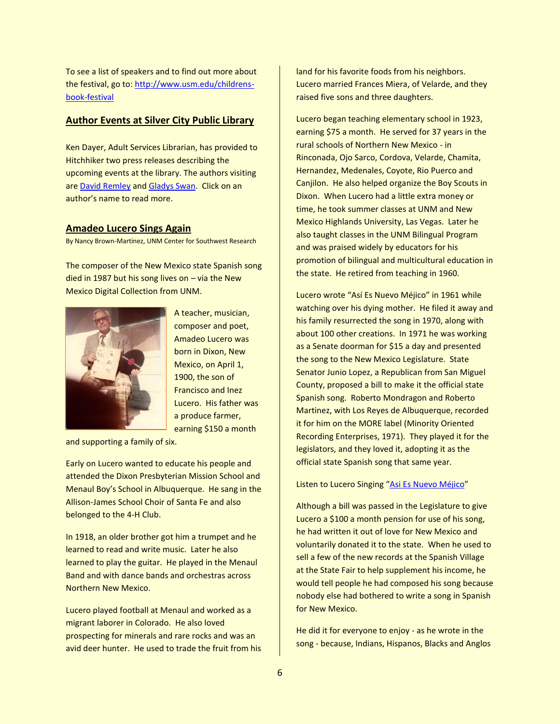To see a list of speakers and to find out more about the festival, go to[: http://www.usm.edu/childrens](http://www.usm.edu/childrens-book-festival)[book-festival](http://www.usm.edu/childrens-book-festival)

#### **Author Events at Silver City Public Library**

Ken Dayer, Adult Services Librarian, has provided to Hitchhiker two press releases describing the upcoming events at the library. The authors visiting ar[e David Remley](http://www.nmstatelibrary.org/docs/hitchhiker/remley.pdf) and [Gladys Swan.](http://www.nmstatelibrary.org/docs/hitchhiker/swan.pdf) Click on an author's name to read more.

#### **Amadeo Lucero Sings Again**

By Nancy Brown-Martinez, UNM Center for Southwest Research

The composer of the New Mexico state Spanish song died in 1987 but his song lives on  $-$  via the New Mexico Digital Collection from UNM.



A teacher, musician, composer and poet, Amadeo Lucero was born in Dixon, New Mexico, on April 1, 1900, the son of Francisco and Inez Lucero. His father was a produce farmer, earning \$150 a month

and supporting a family of six.

Early on Lucero wanted to educate his people and attended the Dixon Presbyterian Mission School and Menaul Boy's School in Albuquerque. He sang in the Allison-James School Choir of Santa Fe and also belonged to the 4-H Club.

In 1918, an older brother got him a trumpet and he learned to read and write music. Later he also learned to play the guitar. He played in the Menaul Band and with dance bands and orchestras across Northern New Mexico.

Lucero played football at Menaul and worked as a migrant laborer in Colorado. He also loved prospecting for minerals and rare rocks and was an avid deer hunter. He used to trade the fruit from his land for his favorite foods from his neighbors. Lucero married Frances Miera, of Velarde, and they raised five sons and three daughters.

Lucero began teaching elementary school in 1923, earning \$75 a month. He served for 37 years in the rural schools of Northern New Mexico - in Rinconada, Ojo Sarco, Cordova, Velarde, Chamita, Hernandez, Medenales, Coyote, Rio Puerco and Canjilon. He also helped organize the Boy Scouts in Dixon. When Lucero had a little extra money or time, he took summer classes at UNM and New Mexico Highlands University, Las Vegas. Later he also taught classes in the UNM Bilingual Program and was praised widely by educators for his promotion of bilingual and multicultural education in the state. He retired from teaching in 1960.

Lucero wrote "Así Es Nuevo Méjico" in 1961 while watching over his dying mother. He filed it away and his family resurrected the song in 1970, along with about 100 other creations. In 1971 he was working as a Senate doorman for \$15 a day and presented the song to the New Mexico Legislature. State Senator Junio Lopez, a Republican from San Miguel County, proposed a bill to make it the official state Spanish song. Roberto Mondragon and Roberto Martinez, with Los Reyes de Albuquerque, recorded it for him on the MORE label (Minority Oriented Recording Enterprises, 1971). They played it for the legislators, and they loved it, adopting it as the official state Spanish song that same year.

#### Listen to Lucero Singing "[Asi Es Nuevo Méjico](http://econtent.unm.edu/cdm4/item_viewer.php?CISOROOT=/Manuscripts&CISOPTR=7486&CISOBOX=1&REC=2)"

Although a bill was passed in the Legislature to give Lucero a \$100 a month pension for use of his song, he had written it out of love for New Mexico and voluntarily donated it to the state. When he used to sell a few of the new records at the Spanish Village at the State Fair to help supplement his income, he would tell people he had composed his song because nobody else had bothered to write a song in Spanish for New Mexico.

He did it for everyone to enjoy - as he wrote in the song - because, Indians, Hispanos, Blacks and Anglos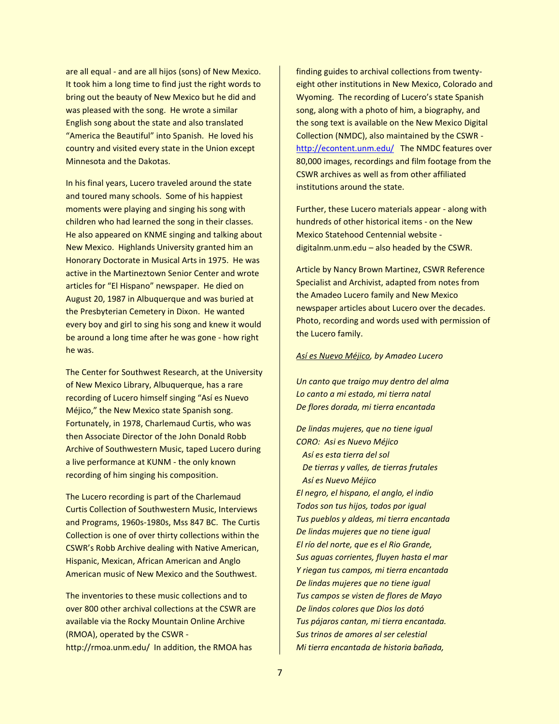are all equal - and are all hijos (sons) of New Mexico. It took him a long time to find just the right words to bring out the beauty of New Mexico but he did and was pleased with the song. He wrote a similar English song about the state and also translated "America the Beautiful" into Spanish. He loved his country and visited every state in the Union except Minnesota and the Dakotas.

In his final years, Lucero traveled around the state and toured many schools. Some of his happiest moments were playing and singing his song with children who had learned the song in their classes. He also appeared on KNME singing and talking about New Mexico. Highlands University granted him an Honorary Doctorate in Musical Arts in 1975. He was active in the Martineztown Senior Center and wrote articles for "El Hispano" newspaper. He died on August 20, 1987 in Albuquerque and was buried at the Presbyterian Cemetery in Dixon. He wanted every boy and girl to sing his song and knew it would be around a long time after he was gone - how right he was.

The Center for Southwest Research, at the University of New Mexico Library, Albuquerque, has a rare recording of Lucero himself singing "Así es Nuevo Méjico," the New Mexico state Spanish song. Fortunately, in 1978, Charlemaud Curtis, who was then Associate Director of the John Donald Robb Archive of Southwestern Music, taped Lucero during a live performance at KUNM - the only known recording of him singing his composition.

The Lucero recording is part of the Charlemaud Curtis Collection of Southwestern Music, Interviews and Programs, 1960s-1980s, Mss 847 BC. The Curtis Collection is one of over thirty collections within the CSWR's Robb Archive dealing with Native American, Hispanic, Mexican, African American and Anglo American music of New Mexico and the Southwest.

The inventories to these music collections and to over 800 other archival collections at the CSWR are available via the Rocky Mountain Online Archive (RMOA), operated by the CSWR http://rmoa.unm.edu/ In addition, the RMOA has

finding guides to archival collections from twentyeight other institutions in New Mexico, Colorado and Wyoming. The recording of Lucero's state Spanish song, along with a photo of him, a biography, and the song text is available on the New Mexico Digital Collection (NMDC), also maintained by the CSWR <http://econtent.unm.edu/>The NMDC features over 80,000 images, recordings and film footage from the CSWR archives as well as from other affiliated institutions around the state.

Further, these Lucero materials appear - along with hundreds of other historical items - on the New Mexico Statehood Centennial website digitalnm.unm.edu – also headed by the CSWR.

Article by Nancy Brown Martinez, CSWR Reference Specialist and Archivist, adapted from notes from the Amadeo Lucero family and New Mexico newspaper articles about Lucero over the decades. Photo, recording and words used with permission of the Lucero family.

#### *Así es Nuevo Méjico, by Amadeo Lucero*

*Un canto que traigo muy dentro del alma Lo canto a mi estado, mi tierra natal De flores dorada, mi tierra encantada*

*De lindas mujeres, que no tiene igual CORO: Asi es Nuevo Méjico Así es esta tierra del sol De tierras y valles, de tierras frutales Así es Nuevo Méjico El negro, el hispano, el anglo, el indio Todos son tus hijos, todos por igual Tus pueblos y aldeas, mi tierra encantada De lindas mujeres que no tiene igual El río del norte, que es el Rio Grande, Sus aguas corrientes, fluyen hasta el mar Y riegan tus campos, mi tierra encantada De lindas mujeres que no tiene igual Tus campos se visten de flores de Mayo De lindos colores que Dios los dotó Tus pájaros cantan, mi tierra encantada. Sus trinos de amores al ser celestial Mi tierra encantada de historia bañada,*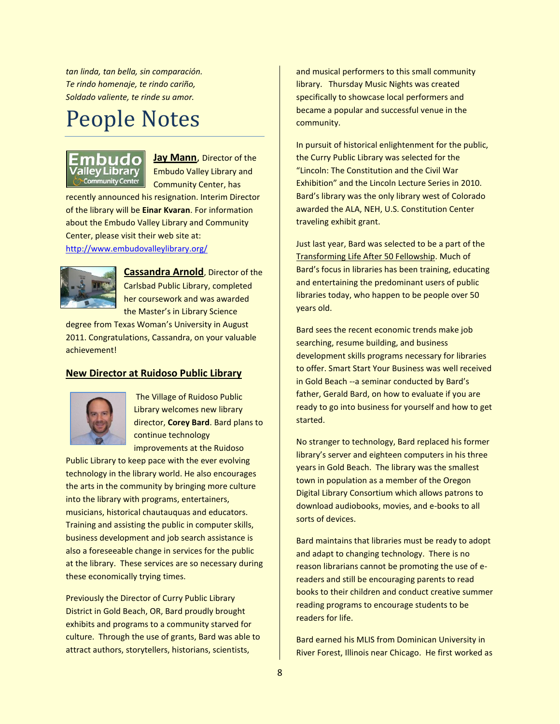*tan linda, tan bella, sin comparación. Te rindo homenaje, te rindo cariño, Soldado valiente, te rinde su amor.*

## People Notes



**Jay Mann**, Director of the Embudo Valley Library and Community Center, has

recently announced his resignation. Interim Director of the library will be **Einar Kvaran**. For information about the Embudo Valley Library and Community Center, please visit their web site at: <http://www.embudovalleylibrary.org/>



**Cassandra Arnold**, Director of the Carlsbad Public Library, completed her coursework and was awarded the Master's in Library Science

degree from Texas Woman's University in August 2011. Congratulations, Cassandra, on your valuable achievement!

#### **New Director at Ruidoso Public Library**



The Village of Ruidoso Public Library welcomes new library director, **Corey Bard**. Bard plans to continue technology improvements at the Ruidoso

Public Library to keep pace with the ever evolving technology in the library world. He also encourages the arts in the community by bringing more culture into the library with programs, entertainers, musicians, historical chautauquas and educators. Training and assisting the public in computer skills, business development and job search assistance is also a foreseeable change in services for the public at the library. These services are so necessary during these economically trying times.

Previously the Director of Curry Public Library District in Gold Beach, OR, Bard proudly brought exhibits and programs to a community starved for culture. Through the use of grants, Bard was able to attract authors, storytellers, historians, scientists,

and musical performers to this small community library. Thursday Music Nights was created specifically to showcase local performers and became a popular and successful venue in the community.

In pursuit of historical enlightenment for the public, the Curry Public Library was selected for the "Lincoln: The Constitution and the Civil War Exhibition" and the Lincoln Lecture Series in 2010. Bard's library was the only library west of Colorado awarded the ALA, NEH, U.S. Constitution Center traveling exhibit grant.

Just last year, Bard was selected to be a part of the Transforming Life After 50 Fellowship. Much of Bard's focus in libraries has been training, educating and entertaining the predominant users of public libraries today, who happen to be people over 50 years old.

Bard sees the recent economic trends make job searching, resume building, and business development skills programs necessary for libraries to offer. Smart Start Your Business was well received in Gold Beach --a seminar conducted by Bard's father, Gerald Bard, on how to evaluate if you are ready to go into business for yourself and how to get started.

No stranger to technology, Bard replaced his former library's server and eighteen computers in his three years in Gold Beach. The library was the smallest town in population as a member of the Oregon Digital Library Consortium which allows patrons to download audiobooks, movies, and e-books to all sorts of devices.

Bard maintains that libraries must be ready to adopt and adapt to changing technology. There is no reason librarians cannot be promoting the use of ereaders and still be encouraging parents to read books to their children and conduct creative summer reading programs to encourage students to be readers for life.

Bard earned his MLIS from Dominican University in River Forest, Illinois near Chicago. He first worked as